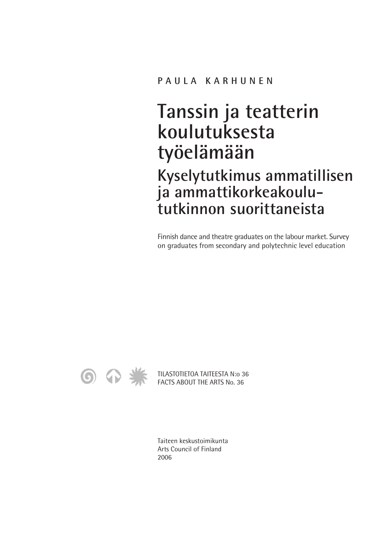# **Tanssin ja teatterin koulutuksesta työelämään**

**Kyselytutkimus ammatillisen ja ammattikorkeakoulututkinnon suorittaneista**

Finnish dance and theatre graduates on the labour market. Survey on graduates from secondary and polytechnic level education



TILASTOTIETOA TAITEESTA N:o 36 FACTS ABOUT THE ARTS No. 36

Taiteen keskustoimikunta Arts Council of Finland 2006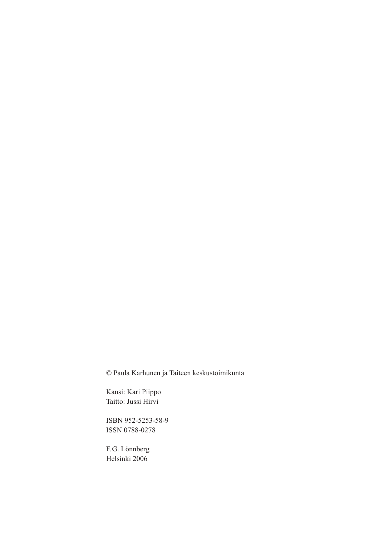© Paula Karhunen ja Taiteen keskustoimikunta

Kansi: Kari Piippo Taitto: Jussi Hirvi

ISBN 952-5253-58-9 ISSN 0788-0278

F.G. Lönnberg Helsinki 2006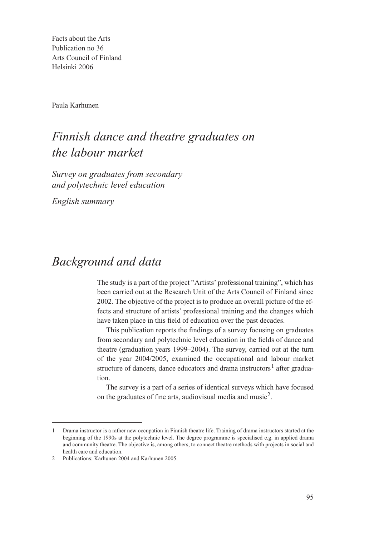Facts about the Arts Publication no 36 Arts Council of Finland Helsinki 2006

Paula Karhunen

# *Finnish dance and theatre graduates on the labour market*

*Survey on graduates from secondary and polytechnic level education*

*English summary*

### *Background and data*

The study is a part of the project "Artists' professional training", which has been carried out at the Research Unit of the Arts Council of Finland since 2002. The objective of the project is to produce an overall picture of the effects and structure of artists' professional training and the changes which have taken place in this field of education over the past decades.

This publication reports the findings of a survey focusing on graduates from secondary and polytechnic level education in the fields of dance and theatre (graduation years 1999–2004). The survey, carried out at the turn of the year 2004/2005, examined the occupational and labour market structure of dancers, dance educators and drama instructors<sup>1</sup> after graduation.

The survey is a part of a series of identical surveys which have focused on the graduates of fine arts, audiovisual media and music<sup>2</sup>.

<sup>1</sup> Drama instructor is a rather new occupation in Finnish theatre life. Training of drama instructors started at the beginning of the 1990s at the polytechnic level. The degree programme is specialised e.g. in applied drama and community theatre. The objective is, among others, to connect theatre methods with projects in social and health care and education.

<sup>2</sup> Publications: Karhunen 2004 and Karhunen 2005.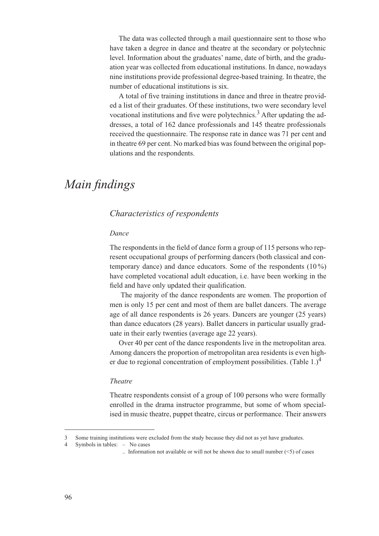The data was collected through a mail questionnaire sent to those who have taken a degree in dance and theatre at the secondary or polytechnic level. Information about the graduates' name, date of birth, and the graduation year was collected from educational institutions. In dance, nowadays nine institutions provide professional degree-based training. In theatre, the number of educational institutions is six.

A total of five training institutions in dance and three in theatre provided a list of their graduates. Of these institutions, two were secondary level vocational institutions and five were polytechnics.<sup>3</sup> After updating the addresses, a total of 162 dance professionals and 145 theatre professionals received the questionnaire. The response rate in dance was 71 per cent and in theatre 69 per cent. No marked bias was found between the original populations and the respondents.

# *Main findings*

### *Characteristics of respondents*

#### *Dance*

The respondents in the field of dance form a group of 115 persons who represent occupational groups of performing dancers (both classical and contemporary dance) and dance educators. Some of the respondents  $(10\%)$ have completed vocational adult education, i.e. have been working in the field and have only updated their qualification.

The majority of the dance respondents are women. The proportion of men is only 15 per cent and most of them are ballet dancers. The average age of all dance respondents is 26 years. Dancers are younger (25 years) than dance educators (28 years). Ballet dancers in particular usually graduate in their early twenties (average age 22 years).

Over 40 per cent of the dance respondents live in the metropolitan area. Among dancers the proportion of metropolitan area residents is even higher due to regional concentration of employment possibilities. (Table 1.)<sup>4</sup>

### *Theatre*

Theatre respondents consist of a group of 100 persons who were formally enrolled in the drama instructor programme, but some of whom specialised in music theatre, puppet theatre, circus or performance. Their answers

4 Symbols in tables: – No cases

<sup>3</sup> Some training institutions were excluded from the study because they did not as yet have graduates.

<sup>..</sup> Information not available or will not be shown due to small number  $(\leq 5)$  of cases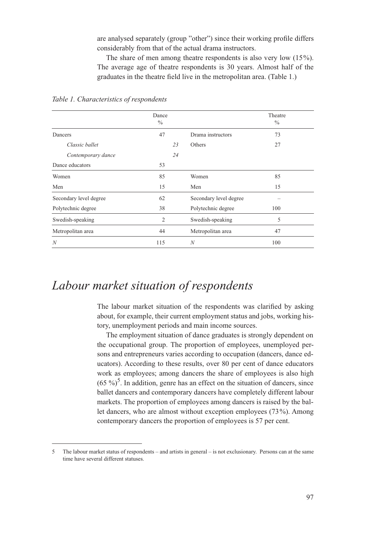are analysed separately (group "other") since their working profile differs considerably from that of the actual drama instructors.

The share of men among theatre respondents is also very low (15%). The average age of theatre respondents is 30 years. Almost half of the graduates in the theatre field live in the metropolitan area. (Table 1.)

|                        | Dance<br>$\frac{0}{0}$ |                        | Theatre<br>$\%$ |
|------------------------|------------------------|------------------------|-----------------|
| Dancers                | 47                     | Drama instructors      | 73              |
| Classic ballet         | 23                     | Others                 | 27              |
| Contemporary dance     | 24                     |                        |                 |
| Dance educators        | 53                     |                        |                 |
| Women                  | 85                     | Women                  | 85              |
| Men                    | 15                     | Men                    | 15              |
| Secondary level degree | 62                     | Secondary level degree |                 |
| Polytechnic degree     | 38                     | Polytechnic degree     | 100             |
| Swedish-speaking       | $\overline{2}$         | Swedish-speaking       | 5               |
| Metropolitan area      | 44                     | Metropolitan area      | 47              |
| $\boldsymbol{N}$       | 115                    | $\boldsymbol{N}$       | 100             |

*Table 1. Characteristics of respondents* 

### *Labour market situation of respondents*

The labour market situation of the respondents was clarified by asking about, for example, their current employment status and jobs, working history, unemployment periods and main income sources.

The employment situation of dance graduates is strongly dependent on the occupational group. The proportion of employees, unemployed persons and entrepreneurs varies according to occupation (dancers, dance educators). According to these results, over 80 per cent of dance educators work as employees; among dancers the share of employees is also high  $(65\%)^5$ . In addition, genre has an effect on the situation of dancers, since ballet dancers and contemporary dancers have completely different labour markets. The proportion of employees among dancers is raised by the ballet dancers, who are almost without exception employees (73%). Among contemporary dancers the proportion of employees is 57 per cent.

<sup>5</sup> The labour market status of respondents – and artists in general – is not exclusionary. Persons can at the same time have several different statuses.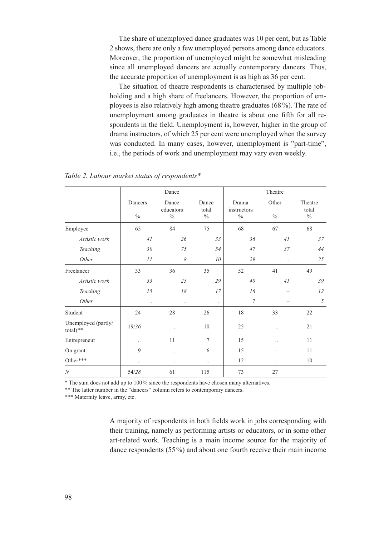The share of unemployed dance graduates was 10 per cent, but as Table 2 shows, there are only a few unemployed persons among dance educators. Moreover, the proportion of unemployed might be somewhat misleading since all unemployed dancers are actually contemporary dancers. Thus, the accurate proportion of unemployment is as high as 36 per cent.

The situation of theatre respondents is characterised by multiple jobholding and a high share of freelancers. However, the proportion of employees is also relatively high among theatre graduates (68 %). The rate of unemployment among graduates in theatre is about one fifth for all respondents in the field. Unemployment is, however, higher in the group of drama instructors, of which 25 per cent were unemployed when the survey was conducted. In many cases, however, unemployment is "part-time", i.e., the periods of work and unemployment may vary even weekly.

|                                   | Dance                    |                                     |                        | Theatre                               |                        |                                   |  |
|-----------------------------------|--------------------------|-------------------------------------|------------------------|---------------------------------------|------------------------|-----------------------------------|--|
|                                   | Dancers<br>$\frac{0}{0}$ | Dance<br>educators<br>$\frac{0}{0}$ | Dance<br>total<br>$\%$ | Drama<br>instructors<br>$\frac{0}{0}$ | Other<br>$\frac{0}{0}$ | Theatre<br>total<br>$\frac{0}{0}$ |  |
| Employee                          | 65                       | 84                                  | 75                     | 68                                    | 67                     | 68                                |  |
| Artistic work                     | 41                       | 26                                  | 33                     | 36                                    | 41                     | 37                                |  |
| Teaching                          | 30                       | 75                                  | 54                     | 47                                    | 37                     | 44                                |  |
| Other                             | II                       | $\boldsymbol{\mathcal{S}}$          | 10                     | 29                                    | $\ddots$               | 25                                |  |
| Freelancer                        | 33                       | 36                                  | 35                     | 52                                    | 41                     | 49                                |  |
| Artistic work                     | 33                       | $25\,$                              | 29                     | $40\,$                                | 41                     | 39                                |  |
| Teaching                          | 15                       | 18                                  | 17                     | 16                                    |                        | 12                                |  |
| Other                             | $\ddotsc$                | $\ddotsc$                           | $\ddotsc$              | $\boldsymbol{7}$                      |                        | $\mathfrak z$                     |  |
| Student                           | 24                       | 28                                  | 26                     | 18                                    | 33                     | 22                                |  |
| Unemployed (partly/<br>$total)**$ | 19/36                    | $\ddot{\phantom{0}}$                | 10                     | 25                                    | $\ddotsc$              | 21                                |  |
| Entrepreneur                      | $\ddotsc$                | 11                                  | $\overline{7}$         | 15                                    | $\ddotsc$              | 11                                |  |
| On grant                          | $\mathbf{Q}$             |                                     | 6                      | 15                                    |                        | 11                                |  |
| Other***                          |                          | $\ddotsc$                           | $\ddotsc$              | 12                                    | $\cdot$ .              | 10                                |  |
| $\boldsymbol{N}$                  | 54/28                    | 61                                  | 115                    | 73                                    | 27                     |                                   |  |

*Table 2. Labour market status of respondents\**

\* The sum does not add up to 100% since the respondents have chosen many alternatives.

\*\* The latter number in the "dancers" column refers to contemporary dancers.

\*\*\* Maternity leave, army, etc.

A majority of respondents in both fields work in jobs corresponding with their training, namely as performing artists or educators, or in some other art-related work. Teaching is a main income source for the majority of dance respondents (55%) and about one fourth receive their main income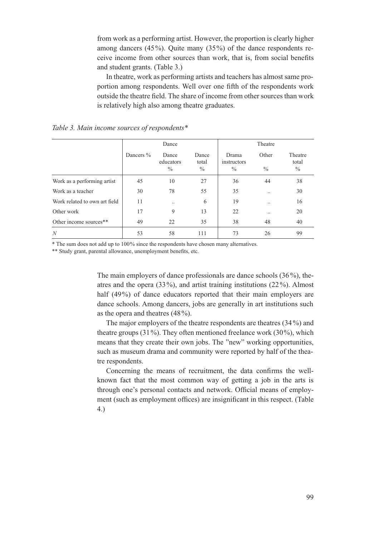from work as a performing artist. However, the proportion is clearly higher among dancers (45%). Quite many (35%) of the dance respondents receive income from other sources than work, that is, from social benefits and student grants. (Table 3.)

In theatre, work as performing artists and teachers has almost same proportion among respondents. Well over one fifth of the respondents work outside the theatre field. The share of income from other sources than work is relatively high also among theatre graduates.

|                               | Dance     |                                     |                                 | Theatre                               |                        |                                   |  |
|-------------------------------|-----------|-------------------------------------|---------------------------------|---------------------------------------|------------------------|-----------------------------------|--|
|                               | Dancers % | Dance<br>educators<br>$\frac{0}{0}$ | Dance<br>total<br>$\frac{0}{0}$ | Drama<br>instructors<br>$\frac{0}{0}$ | Other<br>$\frac{0}{0}$ | Theatre<br>total<br>$\frac{0}{0}$ |  |
| Work as a performing artist   | 45        | 10                                  | 27                              | 36                                    | 44                     | 38                                |  |
| Work as a teacher             | 30        | 78                                  | 55                              | 35                                    |                        | 30                                |  |
| Work related to own art field | 11        | $\cdot$ .                           | 6                               | 19                                    |                        | 16                                |  |
| Other work                    | 17        | 9                                   | 13                              | 22                                    |                        | 20                                |  |
| Other income sources**        | 49        | 22                                  | 35                              | 38                                    | 48                     | 40                                |  |
| N                             | 53        | 58                                  | 111                             | 73                                    | 26                     | 99                                |  |

*Table 3. Main income sources of respondents\** 

\* The sum does not add up to 100% since the respondents have chosen many alternatives.

\*\* Study grant, parental allowance, unemployment benefits, etc.

The main employers of dance professionals are dance schools (36 %), theatres and the opera (33%), and artist training institutions (22 %). Almost half (49%) of dance educators reported that their main employers are dance schools. Among dancers, jobs are generally in art institutions such as the opera and theatres (48%).

The major employers of the theatre respondents are theatres (34 %) and theatre groups  $(31\%)$ . They often mentioned freelance work  $(30\%)$ , which means that they create their own jobs. The "new" working opportunities, such as museum drama and community were reported by half of the theatre respondents.

Concerning the means of recruitment, the data confirms the wellknown fact that the most common way of getting a job in the arts is through one's personal contacts and network. Official means of employment (such as employment offices) are insignificant in this respect. (Table 4.)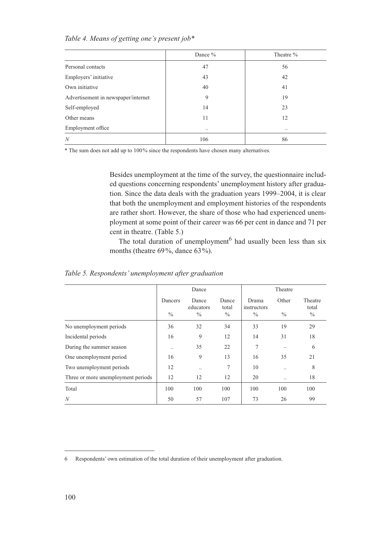|                                     | Dance %       | Theatre % |
|-------------------------------------|---------------|-----------|
| Personal contacts                   | 47            | 56        |
| Employers' initiative               | 43            | 42        |
| Own initiative                      | 40            | 41        |
| Advertisement in newspaper/internet | 9             | 19        |
| Self-employed                       | 14            | 23        |
| Other means                         | 11            | 12        |
| Employment office                   | $\cdot \cdot$ |           |
| $\boldsymbol{N}$                    | 106           | 86        |

*Table 4. Means of getting one's present job\**

\* The sum does not add up to 100% since the respondents have chosen many alternatives.

Besides unemployment at the time of the survey, the questionnaire included questions concerning respondents' unemployment history after graduation. Since the data deals with the graduation years 1999–2004, it is clear that both the unemployment and employment histories of the respondents are rather short. However, the share of those who had experienced unemployment at some point of their career was 66 per cent in dance and 71 per cent in theatre. (Table 5.)

The total duration of unemployment<sup>6</sup> had usually been less than six months (theatre 69%, dance 63%).

|                                    | Dance                    |                                     |                        | Theatre                               |                        |                          |
|------------------------------------|--------------------------|-------------------------------------|------------------------|---------------------------------------|------------------------|--------------------------|
|                                    | Dancers<br>$\frac{0}{0}$ | Dance<br>educators<br>$\frac{0}{0}$ | Dance<br>total<br>$\%$ | Drama<br>instructors<br>$\frac{0}{0}$ | Other<br>$\frac{0}{0}$ | Theatre<br>total<br>$\%$ |
| No unemployment periods            | 36                       | 32                                  | 34                     | 33                                    | 19                     | 29                       |
| Incidental periods                 | 16                       | 9                                   | 12                     | 14                                    | 31                     | 18                       |
| During the summer season           |                          | 35                                  | 22                     | 7                                     |                        | 6                        |
| One unemployment period            | 16                       | 9                                   | 13                     | 16                                    | 35                     | 21                       |
| Two unemployment periods           | 12                       | $\cdot \cdot$                       | 7                      | 10                                    |                        | 8                        |
| Three or more unemployment periods | 12                       | 12                                  | 12                     | 20                                    |                        | 18                       |
| Total                              | 100                      | 100                                 | 100                    | 100                                   | 100                    | 100                      |
| N                                  | 50                       | 57                                  | 107                    | 73                                    | 26                     | 99                       |

*Table 5. Respondents' unemployment after graduation*

<sup>6</sup> Respondents' own estimation of the total duration of their unemployment after graduation.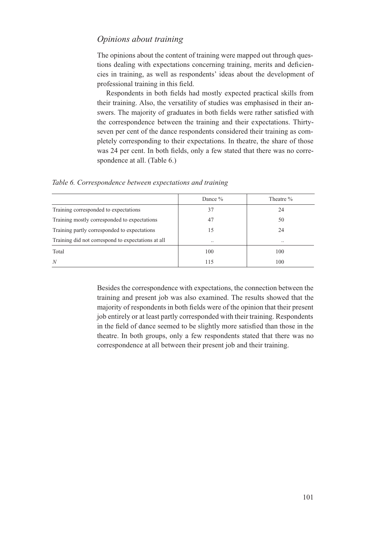### *Opinions about training*

The opinions about the content of training were mapped out through questions dealing with expectations concerning training, merits and deficiencies in training, as well as respondents' ideas about the development of professional training in this field.

Respondents in both fields had mostly expected practical skills from their training. Also, the versatility of studies was emphasised in their answers. The majority of graduates in both fields were rather satisfied with the correspondence between the training and their expectations. Thirtyseven per cent of the dance respondents considered their training as completely corresponding to their expectations. In theatre, the share of those was 24 per cent. In both fields, only a few stated that there was no correspondence at all. (Table 6.)

*Table 6. Correspondence between expectations and training*

|                                                    | Dance $\%$    | Theatre % |  |
|----------------------------------------------------|---------------|-----------|--|
| Training corresponded to expectations              | 37            | 24        |  |
| Training mostly corresponded to expectations       | 47            | 50        |  |
| Training partly corresponded to expectations       | 15            | 24        |  |
| Training did not correspond to expectations at all | $\cdot \cdot$ |           |  |
| Total                                              | 100           | 100       |  |
| N                                                  | 115           | 100       |  |

Besides the correspondence with expectations, the connection between the training and present job was also examined. The results showed that the majority of respondents in both fields were of the opinion that their present job entirely or at least partly corresponded with their training. Respondents in the field of dance seemed to be slightly more satisfied than those in the theatre. In both groups, only a few respondents stated that there was no correspondence at all between their present job and their training.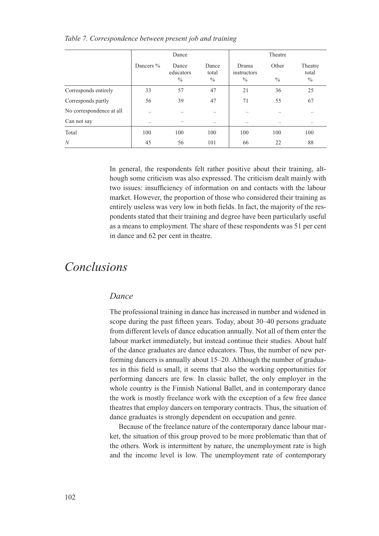|                          | Dance     |                                     |                        | Theatre                               |                        |                          |  |
|--------------------------|-----------|-------------------------------------|------------------------|---------------------------------------|------------------------|--------------------------|--|
|                          | Dancers % | Dance<br>educators<br>$\frac{0}{0}$ | Dance<br>total<br>$\%$ | Drama<br>instructors<br>$\frac{0}{0}$ | Other<br>$\frac{0}{0}$ | Theatre<br>total<br>$\%$ |  |
| Corresponds entirely     | 33        | 57                                  | 47                     | 21                                    | 36                     | 25                       |  |
| Corresponds partly       | 56        | 39                                  | 47                     | 71                                    | 55                     | 67                       |  |
| No correspondence at all | $\cdot$ . | $\cdot \cdot$                       |                        | $\cdot$ .                             |                        | $\ddotsc$                |  |
| Can not say              |           |                                     |                        |                                       |                        | $\ddotsc$                |  |
| Total                    | 100       | 100                                 | 100                    | 100                                   | 100                    | 100                      |  |
| N                        | 45        | 56                                  | 101                    | 66                                    | 22                     | 88                       |  |

#### *Table 7. Correspondence between present job and training*

In general, the respondents felt rather positive about their training, although some criticism was also expressed. The criticism dealt mainly with two issues: insufficiency of information on and contacts with the labour market. However, the proportion of those who considered their training as entirely useless was very low in both fields. In fact, the majority of the respondents stated that their training and degree have been particularly useful as a means to employment. The share of these respondents was 51 per cent in dance and 62 per cent in theatre.

## *Conclusions*

### *Dance*

The professional training in dance has increased in number and widened in scope during the past fifteen years. Today, about 30–40 persons graduate from different levels of dance education annually. Not all of them enter the labour market immediately, but instead continue their studies. About half of the dance graduates are dance educators. Thus, the number of new performing dancers is annually about 15–20. Although the number of graduates in this field is small, it seems that also the working opportunities for performing dancers are few. In classic ballet, the only employer in the whole country is the Finnish National Ballet, and in contemporary dance the work is mostly freelance work with the exception of a few free dance theatres that employ dancers on temporary contracts. Thus, the situation of dance graduates is strongly dependent on occupation and genre.

Because of the freelance nature of the contemporary dance labour market, the situation of this group proved to be more problematic than that of the others. Work is intermittent by nature, the unemployment rate is high and the income level is low. The unemployment rate of contemporary